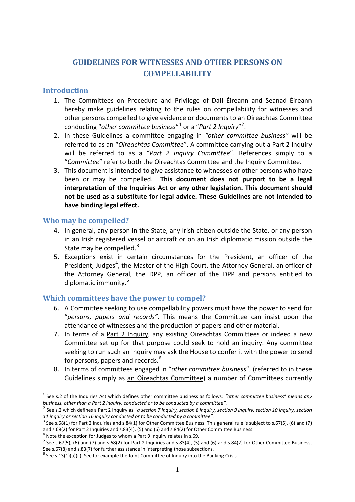# **GUIDELINES FOR WITNESSES AND OTHER PERSONS ON COMPELLABILITY**

## **Introduction**

- 1. The Committees on Procedure and Privilege of Dáil Éireann and Seanad Éireann hereby make guidelines relating to the rules on compellability for witnesses and other persons compelled to give evidence or documents to an Oireachtas Committee conducting "*other committee business*"[1](#page-0-0) or a "*Part 2 Inquiry*"[2](#page-0-1) .
- 2. In these Guidelines a committee engaging in *"other committee business"* will be referred to as an "*Oireachtas Committee*". A committee carrying out a Part 2 Inquiry will be referred to as a "*Part 2 Inquiry Committee*". References simply to a "*Committee*" refer to both the Oireachtas Committee and the Inquiry Committee.
- 3. This document is intended to give assistance to witnesses or other persons who have been or may be compelled. **This document does not purport to be a legal interpretation of the Inquiries Act or any other legislation. This document should not be used as a substitute for legal advice. These Guidelines are not intended to have binding legal effect.**

## **Who may be compelled?**

- 4. In general, any person in the State, any Irish citizen outside the State, or any person in an Irish registered vessel or aircraft or on an Irish diplomatic mission outside the State may be compelled.<sup>[3](#page-0-2)</sup>
- 5. Exceptions exist in certain circumstances for the President, an officer of the President, Judges<sup>[4](#page-0-3)</sup>, the Master of the High Court, the Attorney General, an officer of the Attorney General, the DPP, an officer of the DPP and persons entitled to diplomatic immunity.<sup>[5](#page-0-4)</sup>

## **Which committees have the power to compel?**

- 6. A Committee seeking to use compellability powers must have the power to send for "*persons, papers and records"*. This means the Committee can insist upon the attendance of witnesses and the production of papers and other material.
- 7. In terms of a Part 2 Inquiry, any existing Oireachtas Committees or indeed a new Committee set up for that purpose could seek to hold an inquiry. Any committee seeking to run such an inquiry may ask the House to confer it with the power to send for persons, papers and records.<sup>[6](#page-0-5)</sup>
- 8. In terms of committees engaged in "*other committee business*", (referred to in these Guidelines simply as an Oireachtas Committee) a number of Committees currently

<span id="page-0-0"></span><sup>1</sup> See s.2 of the Inquiries Act which defines other committee business as follows: *"other committee business" means any business, other than a Part 2 inquiry, conducted or to be conducted by a committee".* <u>.</u>

<span id="page-0-1"></span><sup>2</sup> See s.2 which defines a Part 2 Inquiry as *"a section 7 inquiry, section 8 inquiry, section 9 inquiry, section 10 inquiry, section 11 inquiry or section 16 inquiry conducted or to be conducted by a committee".*

<span id="page-0-2"></span> $3$  See s.68(1) for Part 2 Inquiries and s.84(1) for Other Committee Business. This general rule is subject to s.67(5), (6) and (7) and s.68(2) for Part 2 Inquiries and s.83(4), (5) and (6) and s.84(2) for Other Committee Business.

<span id="page-0-3"></span> $<sup>4</sup>$  Note the exception for Judges to whom a Part 9 Inquiry relates in s.69.</sup>

<span id="page-0-4"></span> $5$  See s.67(5), (6) and (7) and s.68(2) for Part 2 Inquiries and s.83(4), (5) and (6) and s.84(2) for Other Committee Business. See s.67(8) and s.83(7) for further assistance in interpreting those subsections.<br><sup>6</sup> See s.13(1)(a)(ii). See for example the Joint Committee of Inquiry into the Banking Crisis

<span id="page-0-5"></span>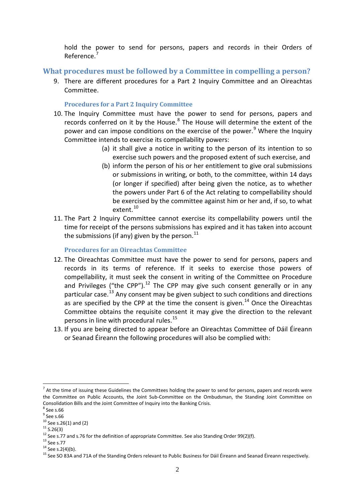hold the power to send for persons, papers and records in their Orders of Reference.<sup>[7](#page-1-0)</sup>

**What procedures must be followed by a Committee in compelling a person?**

9. There are different procedures for a Part 2 Inquiry Committee and an Oireachtas Committee.

**Procedures for a Part 2 Inquiry Committee** 

- 10. The Inquiry Committee must have the power to send for persons, papers and records conferred on it by the House.<sup>[8](#page-1-1)</sup> The House will determine the extent of the power and can impose conditions on the exercise of the power.<sup>[9](#page-1-2)</sup> Where the Inquiry Committee intends to exercise its compellability powers:
	- (a) it shall give a notice in writing to the person of its intention to so exercise such powers and the proposed extent of such exercise, and
	- (b) inform the person of his or her entitlement to give oral submissions or submissions in writing, or both, to the committee, within 14 days (or longer if specified) after being given the notice, as to whether the powers under Part 6 of the Act relating to compellability should be exercised by the committee against him or her and, if so, to what extent.<sup>[10](#page-1-3)</sup>
- 11. The Part 2 Inquiry Committee cannot exercise its compellability powers until the time for receipt of the persons submissions has expired and it has taken into account the submissions (if any) given by the person. $^{11}$  $^{11}$  $^{11}$

#### **Procedures for an Oireachtas Committee**

- 12. The Oireachtas Committee must have the power to send for persons, papers and records in its terms of reference. If it seeks to exercise those powers of compellability, it must seek the consent in writing of the Committee on Procedure and Privileges ("the CPP").<sup>[12](#page-1-5)</sup> The CPP may give such consent generally or in any particular case.<sup>[13](#page-1-6)</sup> Any consent may be given subject to such conditions and directions as are specified by the CPP at the time the consent is given.<sup>[14](#page-1-7)</sup> Once the Oireachtas Committee obtains the requisite consent it may give the direction to the relevant persons in line with procedural rules.<sup>[15](#page-1-8)</sup>
- 13. If you are being directed to appear before an Oireachtas Committee of Dáil Éireann or Seanad Éireann the following procedures will also be complied with:

-

<span id="page-1-0"></span> $<sup>7</sup>$  At the time of issuing these Guidelines the Committees holding the power to send for persons, papers and records were</sup> the Committee on Public Accounts, the Joint Sub-Committee on the Ombudsman, the Standing Joint Committee on Consolidation Bills and the Joint Committee of Inquiry into the Banking Crisis.<br><sup>8</sup> See s.66

<span id="page-1-2"></span><span id="page-1-1"></span> $3^{9}$  See s.66<br> $10^{10}$  See s.26(1) and (2)

<span id="page-1-6"></span>

<span id="page-1-8"></span><span id="page-1-7"></span>

<span id="page-1-5"></span><span id="page-1-4"></span><span id="page-1-3"></span><sup>&</sup>lt;sup>11</sup> S.26(3)<br><sup>12</sup> See s.77 and s.76 for the definition of appropriate Committee. See also Standing Order 99(2)(f).<br><sup>13</sup> See s.77<br><sup>14</sup> See s.2(4)(b).<br><sup>15</sup> See SO 83A and 71A of the Standing Orders relevant to Public Busine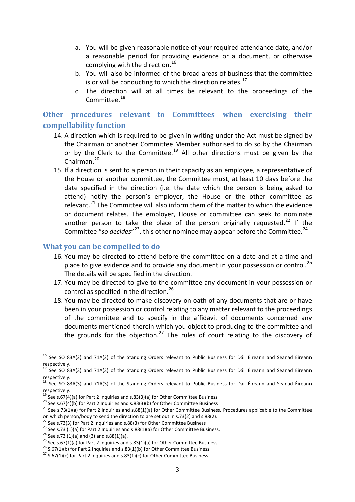- a. You will be given reasonable notice of your required attendance date, and/or a reasonable period for providing evidence or a document, or otherwise complying with the direction. $^{16}$  $^{16}$  $^{16}$
- b. You will also be informed of the broad areas of business that the committee is or will be conducting to which the direction relates. $^{17}$  $^{17}$  $^{17}$
- c. The direction will at all times be relevant to the proceedings of the Committee<sup>[18](#page-2-2)</sup>

## **Other procedures relevant to Committees when exercising their compellability function**

- 14. A direction which is required to be given in writing under the Act must be signed by the Chairman or another Committee Member authorised to do so by the Chairman or by the Clerk to the Committee.<sup>[19](#page-2-3)</sup> All other directions must be given by the Chairman.<sup>[20](#page-2-4)</sup>
- 15. If a direction is sent to a person in their capacity as an employee, a representative of the House or another committee, the Committee must, at least 10 days before the date specified in the direction (i.e. the date which the person is being asked to attend) notify the person's employer, the House or the other committee as relevant.<sup>[21](#page-2-5)</sup> The Committee will also inform them of the matter to which the evidence or document relates. The employer, House or committee can seek to nominate another person to take the place of the person originally requested.<sup>[22](#page-2-6)</sup> If the Committee "so decides"<sup>23</sup>, this other nominee may appear before the Committee.<sup>[24](#page-2-8)</sup>

#### **What you can be compelled to do**

- 16. You may be directed to attend before the committee on a date and at a time and place to give evidence and to provide any document in your possession or control.<sup>[25](#page-2-9)</sup> The details will be specified in the direction.
- 17. You may be directed to give to the committee any document in your possession or control as specified in the direction.<sup>[26](#page-2-10)</sup>
- 18. You may be directed to make discovery on oath of any documents that are or have been in your possession or control relating to any matter relevant to the proceedings of the committee and to specify in the affidavit of documents concerned any documents mentioned therein which you object to producing to the committee and the grounds for the objection.<sup>[27](#page-2-11)</sup> The rules of court relating to the discovery of

<u>.</u>

<span id="page-2-0"></span><sup>&</sup>lt;sup>16</sup> See SO 83A(2) and 71A(2) of the Standing Orders relevant to Public Business for Dáil Éireann and Seanad Éireann respectively.<br><sup>17</sup> See SO 83A(3) and 71A(3) of the Standing Orders relevant to Public Business for Dáil Éireann and Seanad Éireann

<span id="page-2-1"></span>respectively.<br><sup>18</sup> See SO 83A(3) and 71A(3) of the Standing Orders relevant to Public Business for Dáil Éireann and Seanad Éireann

<span id="page-2-2"></span>respectively.<br><sup>19</sup> See s.67(4)(a) for Part 2 Inquiries and s.83(3)(a) for Other Committee Business<br><sup>20</sup> See s.67(4)(b) for Part 2 Inquiries and s.83(3)(b) for Other Committee Business<br><sup>21</sup> See s.73(1)(a) for Part 2 Inquir

<span id="page-2-3"></span>

<span id="page-2-5"></span><span id="page-2-4"></span>on which person/body to send the direction to are set out in s.73(2) and s.88(2).<br>
<sup>22</sup> See s.73(3) for Part 2 Inquiries and s.88(3) for Other Committee Business

<span id="page-2-10"></span><span id="page-2-9"></span>

<span id="page-2-8"></span><span id="page-2-7"></span><span id="page-2-6"></span><sup>&</sup>lt;sup>23</sup> See s.73 (1)(a) for Part 2 Inquiries and s.88(1)(a) for Other Committee Business.<br><sup>24</sup> See s.73 (1)(a) and (3) and s.88(1)(a).<br><sup>25</sup> See s.67(1)(a) for Part 2 Inquiries and s.83(1)(a) for Other Committee Business<br><sup>26</sup>

<span id="page-2-11"></span>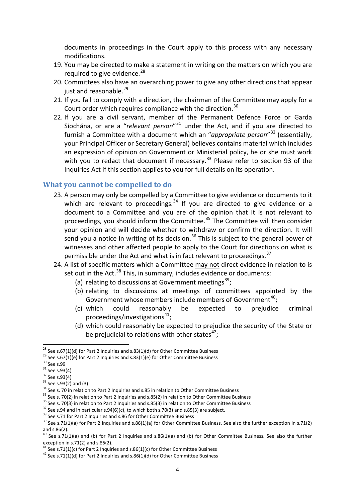documents in proceedings in the Court apply to this process with any necessary modifications.

- 19. You may be directed to make a statement in writing on the matters on which you are required to give evidence.<sup>[28](#page-3-0)</sup>
- 20. Committees also have an overarching power to give any other directions that appear just and reasonable.<sup>[29](#page-3-1)</sup>
- 21. If you fail to comply with a direction, the chairman of the Committee may apply for a Court order which requires compliance with the direction.<sup>[30](#page-3-2)</sup>
- 22. If you are a civil servant, member of the Permanent Defence Force or Garda Síochána, or are a "*relevant person*"[31](#page-3-3) under the Act, and if you are directed to furnish a Committee with a document which an "*appropriate person*"[32](#page-3-4) (essentially, your Principal Officer or Secretary General) believes contains material which includes an expression of opinion on Government or Ministerial policy, he or she must work with you to redact that document if necessary. $33$  Please refer to section 93 of the Inquiries Act if this section applies to you for full details on its operation.

#### **What you cannot be compelled to do**

- 23. A person may only be compelled by a Committee to give evidence or documents to it which are **relevant to proceedings.**<sup>[34](#page-3-6)</sup> If you are directed to give evidence or a document to a Committee and you are of the opinion that it is not relevant to proceedings, you should inform the Committee.<sup>[35](#page-3-7)</sup> The Committee will then consider your opinion and will decide whether to withdraw or confirm the direction. It will send you a notice in writing of its decision.<sup>[36](#page-3-8)</sup> This is subject to the general power of witnesses and other affected people to apply to the Court for directions on what is permissible under the Act and what is in fact relevant to proceedings.<sup>[37](#page-3-9)</sup>
- 24. A list of specific matters which a Committee may not direct evidence in relation to is set out in the Act.<sup>[38](#page-3-10)</sup> This, in summary, includes evidence or documents:
	- (a) relating to discussions at Government meetings<sup>[39](#page-3-11)</sup>;
	- (b) relating to discussions at meetings of committees appointed by the Government whose members include members of Government<sup>[40](#page-3-12)</sup>;
	- (c) which could reasonably be expected to prejudice criminal proceedings/investigations<sup>[41](#page-3-13)</sup>;
	- (d) which could reasonably be expected to prejudice the security of the State or be prejudicial to relations with other states $^{42}$  $^{42}$  $^{42}$ ;

<span id="page-3-0"></span><sup>&</sup>lt;sup>28</sup> See s.67(1)(d) for Part 2 Inquiries and s.83(1)(d) for Other Committee Business

<span id="page-3-1"></span>

<span id="page-3-2"></span>

<span id="page-3-4"></span><span id="page-3-3"></span>

<span id="page-3-5"></span>

<span id="page-3-6"></span>

<span id="page-3-7"></span>

<span id="page-3-8"></span>

<span id="page-3-9"></span>

<span id="page-3-11"></span><span id="page-3-10"></span>

<sup>&</sup>lt;sup>28</sup> See s.67(1)(d) for Part 2 Inquiries and s.83(1)(d) for Other Committee Business<br><sup>29</sup> See s.67(1)(e) for Part 2 Inquiries and s.83(1)(e) for Other Committee Business<br><sup>31</sup> See s.93(4)<br><sup>31</sup> See s.93(4)<br><sup>31</sup> See s.93(4)<br> and s.86(2).

<span id="page-3-12"></span> $40$  See s.71(1)(a) and (b) for Part 2 Inquiries and s.86(1)(a) and (b) for Other Committee Business. See also the further exception in s.71(2) and s.86(2).

<span id="page-3-14"></span><span id="page-3-13"></span><sup>&</sup>lt;sup>41</sup> See s.71(1)(c) for Part 2 Inquiries and s.86(1)(c) for Other Committee Business <sup>42</sup> See s.71(1)(d) for Part 2 Inquiries and s.86(1)(d) for Other Committee Business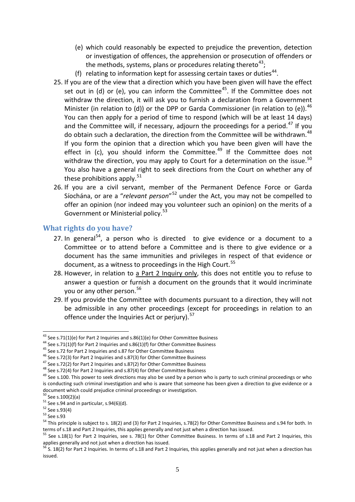- (e) which could reasonably be expected to prejudice the prevention, detection or investigation of offences, the apprehension or prosecution of offenders or the methods, systems, plans or procedures relating thereto<sup>[43](#page-4-0)</sup>;
- (f) relating to information kept for assessing certain taxes or duties $44$ .
- 25. If you are of the view that a direction which you have been given will have the effect set out in (d) or (e), you can inform the Committee<sup>45</sup>. If the Committee does not withdraw the direction, it will ask you to furnish a declaration from a Government Minister (in relation to (d)) or the DPP or Garda Commissioner (in relation to (e)).<sup>[46](#page-4-3)</sup> You can then apply for a period of time to respond (which will be at least 14 days) and the Committee will, if necessary, adjourn the proceedings for a period.<sup>[47](#page-4-4)</sup> If you do obtain such a declaration, the direction from the Committee will be withdrawn.<sup>[48](#page-4-5)</sup> If you form the opinion that a direction which you have been given will have the effect in (c), you should inform the Committee.<sup>[49](#page-4-6)</sup> If the Committee does not withdraw the direction, you may apply to Court for a determination on the issue. $50$ You also have a general right to seek directions from the Court on whether any of these prohibitions apply.<sup>[51](#page-4-8)</sup>
- 26. If you are a civil servant, member of the Permanent Defence Force or Garda Síochána, or are a "*relevant person*"[52](#page-4-9) under the Act, you may not be compelled to offer an opinion (nor indeed may you volunteer such an opinion) on the merits of a Government or Ministerial policy.<sup>[53](#page-4-10)</sup>

### **What rights do you have?**

- 27. In general $54$ , a person who is directed to give evidence or a document to a Committee or to attend before a Committee and is there to give evidence or a document has the same immunities and privileges in respect of that evidence or document, as a witness to proceedings in the High Court.<sup>[55](#page-4-12)</sup>
- 28. However, in relation to a Part 2 Inquiry only, this does not entitle you to refuse to answer a question or furnish a document on the grounds that it would incriminate you or any other person.<sup>[56](#page-4-13)</sup>
- 29. If you provide the Committee with documents pursuant to a direction, they will not be admissible in any other proceedings (except for proceedings in relation to an offence under the Inquiries Act or perjury).<sup>[57](#page-4-0)</sup>

<span id="page-4-0"></span><sup>&</sup>lt;sup>43</sup> See s.71(1)(e) for Part 2 Inquiries and s.86(1)(e) for Other Committee Business

<span id="page-4-2"></span>

<span id="page-4-3"></span>

<span id="page-4-4"></span>

<span id="page-4-6"></span><span id="page-4-5"></span>

<span id="page-4-1"></span><sup>44</sup> See s.71(1)(f) for Part 2 Inquiries and s.86(1)(f) for Other Committee Business<br>
45 See s.72 for Part 2 Inquiries and s.87 for Other Committee Business<br>
46 See s.72(3) for Part 2 Inquiries and s.87(3) for Other Committ is conducting such criminal investigation and who is aware that someone has been given a direction to give evidence or a document which could prejudice criminal proceedings or investigation.<br> $^{50}$  See s.100(2)(a)

<span id="page-4-11"></span><span id="page-4-10"></span>

<span id="page-4-9"></span><span id="page-4-8"></span><span id="page-4-7"></span><sup>&</sup>lt;sup>51</sup> See s.94 and in particular, s.94(6)(d).<br>
<sup>52</sup> See s.93(4)<br>
<sup>53</sup> See s.93<br>
<sup>54</sup> This principle is subject to s. 18(2) and (3) for Part 2 Inquiries, s.78(2) for Other Committee Business and s.94 for both. In terms of s.18 and Part 2 Inquiries, this applies generally and not just when a direction has issued.

<span id="page-4-12"></span><sup>&</sup>lt;sup>55</sup> See s.18(1) for Part 2 Inquiries, see s. 78(1) for Other Committee Business. In terms of s.18 and Part 2 Inquiries, this applies generally and not just when a direction has issued.

<span id="page-4-13"></span> $56$  S. 18(2) for Part 2 Inquiries. In terms of s.18 and Part 2 Inquiries, this applies generally and not just when a direction has issued.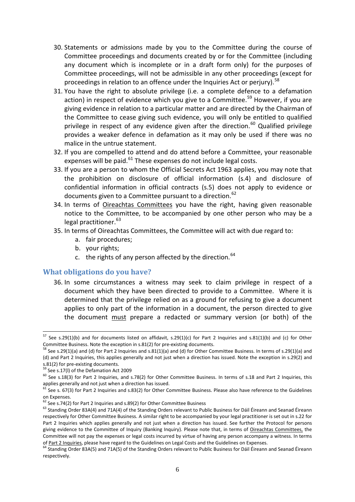- 30. Statements or admissions made by you to the Committee during the course of Committee proceedings and documents created by or for the Committee (including any document which is incomplete or in a draft form only) for the purposes of Committee proceedings, will not be admissible in any other proceedings (except for proceedings in relation to an offence under the Inquiries Act or periury).<sup>[58](#page-5-0)</sup>
- 31. You have the right to absolute privilege (i.e. a complete defence to a defamation action) in respect of evidence which you give to a Committee.<sup>[59](#page-5-1)</sup> However, if you are giving evidence in relation to a particular matter and are directed by the Chairman of the Committee to cease giving such evidence, you will only be entitled to qualified privilege in respect of any evidence given after the direction.<sup>[60](#page-5-2)</sup> Qualified privilege provides a weaker defence in defamation as it may only be used if there was no malice in the untrue statement.
- 32. If you are compelled to attend and do attend before a Committee, your reasonable expenses will be paid. $61$  These expenses do not include legal costs.
- 33. If you are a person to whom the Official Secrets Act 1963 applies, you may note that the prohibition on disclosure of official information (s.4) and disclosure of confidential information in official contracts (s.5) does not apply to evidence or documents given to a Committee pursuant to a direction.  $62$
- 34. In terms of Oireachtas Committees you have the right, having given reasonable notice to the Committee, to be accompanied by one other person who may be a legal practitioner.<sup>[63](#page-5-5)</sup>
- 35. In terms of Oireachtas Committees, the Committee will act with due regard to:
	- a. fair procedures;
	- b. your rights;
	- c. the rights of any person affected by the direction.  $64$

#### **What obligations do you have?**

36. In some circumstances a witness may seek to claim privilege in respect of a document which they have been directed to provide to a Committee. Where it is determined that the privilege relied on as a ground for refusing to give a document applies to only part of the information in a document, the person directed to give the document must prepare a redacted or summary version (or both) of the

<u>.</u>

 $^{57}$  See s.29(1)(b) and for documents listed on affidavit, s.29(1)(c) for Part 2 Inquiries and s.81(1)(b) and (c) for Other Committee Business. Note the exception in s.81(2) for pre-existing documents.<br><sup>58</sup> See s.29(1)(a) and (d) for Part 2 Inquiries and s.81(1)(a) and (d) for Other Committee Business. In terms of s.29(1)(a) and

<span id="page-5-0"></span><sup>(</sup>d) and Part 2 Inquiries, this applies generally and not just when a direction has issued. Note the exception in s.29(2) and s.81(2) for pre-existing documents.<br>
<sup>59</sup> See s.17(l) of the Defamation Act 2009

<span id="page-5-2"></span><span id="page-5-1"></span> $\frac{60}{10}$  See s.18(3) for Part 2 Inquiries, and s.78(2) for Other Committee Business. In terms of s.18 and Part 2 Inquiries, this applies generally and not just when a direction has issued.

<span id="page-5-3"></span> $61$  See s. 67(3) for Part 2 Inquiries and s.83(2) for Other Committee Business. Please also have reference to the Guidelines on Expenses.<br><sup>62</sup> See s.74(2) for Part 2 Inquiries and s.89(2) for Other Committee Business

<span id="page-5-5"></span><span id="page-5-4"></span><sup>&</sup>lt;sup>63</sup> Standing Order 83A(4) and 71A(4) of the Standing Orders relevant to Public Business for Dáil Éireann and Seanad Éireann respectively for Other Committee Business. A similar right to be accompanied by your legal practitioner is set out in s.22 for Part 2 Inquiries which applies generally and not just when a direction has issued. See further the Protocol for persons giving evidence to the Committee of Inquiry (Banking Inquiry). Please note that, in terms of Oireachtas Committees, the Committee will not pay the expenses or legal costs incurred by virtue of having any person accompany a witness. In terms of Part 2 Inquiries, please have regard to the Guidelines on Legal Costs and the Guidelines on Expens

<span id="page-5-6"></span> $^{64}$  Standing Order 83A(5) and 71A(5) of the Standing Orders relevant to Public Business for Dáil Éireann and Seanad Éireann respectively.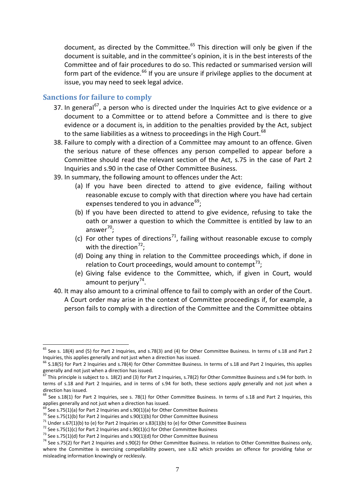document, as directed by the Committee.<sup>[65](#page-6-0)</sup> This direction will only be given if the document is suitable, and in the committee's opinion, it is in the best interests of the Committee and of fair procedures to do so. This redacted or summarised version will form part of the evidence.<sup>[66](#page-6-1)</sup> If you are unsure if privilege applies to the document at issue, you may need to seek legal advice.

#### **Sanctions for failure to comply**

- 37. In general<sup>[67](#page-6-2)</sup>, a person who is directed under the Inquiries Act to give evidence or a document to a Committee or to attend before a Committee and is there to give evidence or a document is, in addition to the penalties provided by the Act, subject to the same liabilities as a witness to proceedings in the High Court.<sup>[68](#page-6-3)</sup>
- 38. Failure to comply with a direction of a Committee may amount to an offence. Given the serious nature of these offences any person compelled to appear before a Committee should read the relevant section of the Act, s.75 in the case of Part 2 Inquiries and s.90 in the case of Other Committee Business.
- 39. In summary, the following amount to offences under the Act:
	- (a) If you have been directed to attend to give evidence, failing without reasonable excuse to comply with that direction where you have had certain expenses tendered to you in advance $^{69}$  $^{69}$  $^{69}$ ;
	- (b) If you have been directed to attend to give evidence, refusing to take the oath or answer a question to which the Committee is entitled by law to an answer<sup>[70](#page-6-5)</sup>;
	- (c) For other types of directions<sup>71</sup>, failing without reasonable excuse to comply with the direction $^{72}$  $^{72}$  $^{72}$ ;
	- (d) Doing any thing in relation to the Committee proceedings which, if done in relation to Court proceedings, would amount to contempt<sup>[73](#page-6-8)</sup>;
	- (e) Giving false evidence to the Committee, which, if given in Court, would amount to perjury<sup>[74](#page-6-9)</sup>.
- 40. It may also amount to a criminal offence to fail to comply with an order of the Court. A Court order may arise in the context of Committee proceedings if, for example, a person fails to comply with a direction of the Committee and the Committee obtains

-

<span id="page-6-0"></span> $<sup>65</sup>$  See s. 18(4) and (5) for Part 2 Inquiries, and s.78(3) and (4) for Other Committee Business. In terms of s.18 and Part 2</sup> Inquiries, this applies generally and not just when a direction has issued.

<span id="page-6-1"></span> $66$  S.18(5) for Part 2 Inquiries and s.78(4) for Other Committee Business. In terms of s.18 and Part 2 Inquiries, this applies generally and not just when a direction has issued.

<span id="page-6-2"></span> $^{67}$  This principle is subject to s. 18(2) and (3) for Part 2 Inquiries, s.78(2) for Other Committee Business and s.94 for both. In terms of s.18 and Part 2 Inquiries, and in terms of s.94 for both, these sections apply generally and not just when a direction has issued.

<span id="page-6-3"></span><sup>&</sup>lt;sup>68</sup> See s.18(1) for Part 2 Inquiries, see s. 78(1) for Other Committee Business. In terms of s.18 and Part 2 Inquiries, this applies generally and not just when a direction has issued.<br>  $^{69}$  See s.75(1)(a) for Part 2 Inquiries and s.90(1)(a) for Other Committee Business

<span id="page-6-6"></span>

<span id="page-6-8"></span><span id="page-6-7"></span>

<span id="page-6-9"></span>

<span id="page-6-5"></span><span id="page-6-4"></span><sup>&</sup>lt;sup>70</sup> See s.75(1)(b) for Part 2 Inquiries and s.90(1)(b) for Other Committee Business<br><sup>71</sup> Under s.67(1)(b) to (e) for Part 2 Inquiries or s.83(1)(b) to (e) for Other Committee Business<br><sup>72</sup> See s.75(1)(c) for Part 2 Inqui where the Committee is exercising compellability powers, see s.82 which provides an offence for providing false or misleading information knowingly or recklessly.